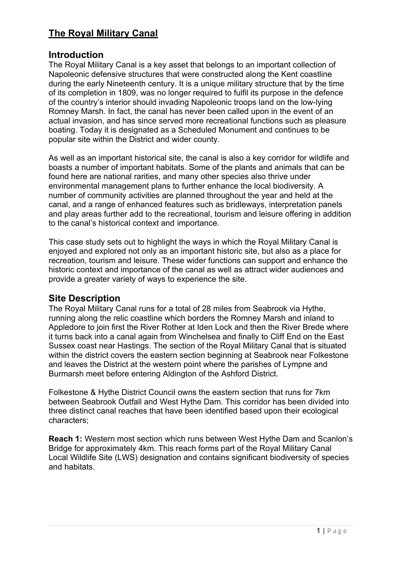# **The Royal Military Canal**

## **Introduction**

The Royal Military Canal is a key asset that belongs to an important collection of Napoleonic defensive structures that were constructed along the Kent coastline during the early Nineteenth century. It is a unique military structure that by the time of its completion in 1809, was no longer required to fulfil its purpose in the defence of the country's interior should invading Napoleonic troops land on the low-lying Romney Marsh. In fact, the canal has never been called upon in the event of an actual invasion, and has since served more recreational functions such as pleasure boating. Today it is designated as a Scheduled Monument and continues to be popular site within the District and wider county.

As well as an important historical site, the canal is also a key corridor for wildlife and boasts a number of important habitats. Some of the plants and animals that can be found here are national rarities, and many other species also thrive under environmental management plans to further enhance the local biodiversity. A number of community activities are planned throughout the year and held at the canal, and a range of enhanced features such as bridleways, interpretation panels and play areas further add to the recreational, tourism and leisure offering in addition to the canal's historical context and importance.

This case study sets out to highlight the ways in which the Royal Military Canal is enjoyed and explored not only as an important historic site, but also as a place for recreation, tourism and leisure. These wider functions can support and enhance the historic context and importance of the canal as well as attract wider audiences and provide a greater variety of ways to experience the site.

## **Site Description**

The Royal Military Canal runs for a total of 28 miles from Seabrook via Hythe, running along the relic coastline which borders the Romney Marsh and inland to Appledore to join first the River Rother at Iden Lock and then the River Brede where it turns back into a canal again from Winchelsea and finally to Cliff End on the East Sussex coast near Hastings. The section of the Royal Military Canal that is situated within the district covers the eastern section beginning at Seabrook near Folkestone and leaves the District at the western point where the parishes of Lympne and Burmarsh meet before entering Aldington of the Ashford District.

Folkestone & Hythe District Council owns the eastern section that runs for 7km between Seabrook Outfall and West Hythe Dam. This corridor has been divided into three distinct canal reaches that have been identified based upon their ecological characters;

**Reach 1:** Western most section which runs between West Hythe Dam and Scanlon's Bridge for approximately 4km. This reach forms part of the Royal Military Canal Local Wildlife Site (LWS) designation and contains significant biodiversity of species and habitats.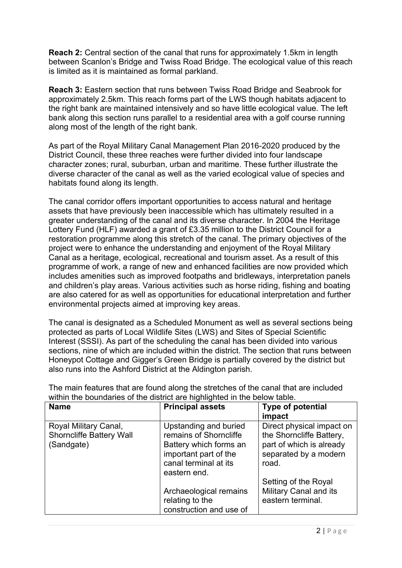**Reach 2:** Central section of the canal that runs for approximately 1.5km in length between Scanlon's Bridge and Twiss Road Bridge. The ecological value of this reach is limited as it is maintained as formal parkland.

**Reach 3:** Eastern section that runs between Twiss Road Bridge and Seabrook for approximately 2.5km. This reach forms part of the LWS though habitats adjacent to the right bank are maintained intensively and so have little ecological value. The left bank along this section runs parallel to a residential area with a golf course running along most of the length of the right bank.

As part of the Royal Military Canal Management Plan 2016-2020 produced by the District Council, these three reaches were further divided into four landscape character zones; rural, suburban, urban and maritime. These further illustrate the diverse character of the canal as well as the varied ecological value of species and habitats found along its length.

The canal corridor offers important opportunities to access natural and heritage assets that have previously been inaccessible which has ultimately resulted in a greater understanding of the canal and its diverse character. In 2004 the Heritage Lottery Fund (HLF) awarded a grant of £3.35 million to the District Council for a restoration programme along this stretch of the canal. The primary objectives of the project were to enhance the understanding and enjoyment of the Royal Military Canal as a heritage, ecological, recreational and tourism asset. As a result of this programme of work, a range of new and enhanced facilities are now provided which includes amenities such as improved footpaths and bridleways, interpretation panels and children's play areas. Various activities such as horse riding, fishing and boating are also catered for as well as opportunities for educational interpretation and further environmental projects aimed at improving key areas.

The canal is designated as a Scheduled Monument as well as several sections being protected as parts of Local Wildlife Sites (LWS) and Sites of Special Scientific Interest (SSSI). As part of the scheduling the canal has been divided into various sections, nine of which are included within the district. The section that runs between Honeypot Cottage and Gigger's Green Bridge is partially covered by the district but also runs into the Ashford District at the Aldington parish.

| within the boundaries of the district are highlighted in the below table. |                                                                                                                                             |                                                                                                                     |  |  |
|---------------------------------------------------------------------------|---------------------------------------------------------------------------------------------------------------------------------------------|---------------------------------------------------------------------------------------------------------------------|--|--|
| <b>Name</b>                                                               | <b>Principal assets</b>                                                                                                                     | <b>Type of potential</b><br>impact                                                                                  |  |  |
| Royal Military Canal,<br><b>Shorncliffe Battery Wall</b><br>(Sandgate)    | Upstanding and buried<br>remains of Shorncliffe<br>Battery which forms an<br>important part of the<br>canal terminal at its<br>eastern end. | Direct physical impact on<br>the Shorncliffe Battery,<br>part of which is already<br>separated by a modern<br>road. |  |  |
|                                                                           | Archaeological remains<br>relating to the<br>construction and use of                                                                        | Setting of the Royal<br><b>Military Canal and its</b><br>eastern terminal.                                          |  |  |

The main features that are found along the stretches of the canal that are included within the boundaries of the district are highlighted in the below table.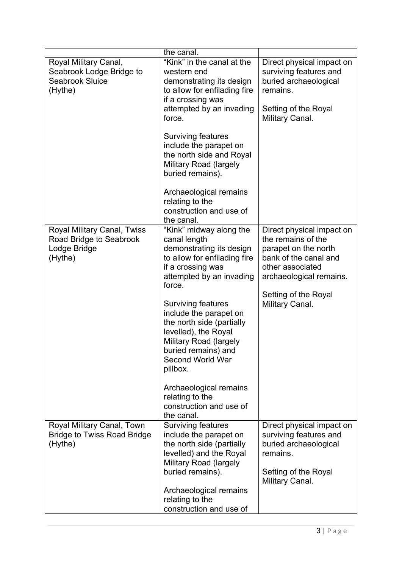|                                                                                          | the canal.                                                                                                                                                                                                                                                                                                                                                                                                                                                      |                                                                                                                                                                                            |
|------------------------------------------------------------------------------------------|-----------------------------------------------------------------------------------------------------------------------------------------------------------------------------------------------------------------------------------------------------------------------------------------------------------------------------------------------------------------------------------------------------------------------------------------------------------------|--------------------------------------------------------------------------------------------------------------------------------------------------------------------------------------------|
| Royal Military Canal,<br>Seabrook Lodge Bridge to<br><b>Seabrook Sluice</b><br>(Hythe)   | "Kink" in the canal at the<br>western end<br>demonstrating its design<br>to allow for enfilading fire<br>if a crossing was<br>attempted by an invading<br>force.<br><b>Surviving features</b><br>include the parapet on<br>the north side and Royal<br><b>Military Road (largely</b><br>buried remains).<br>Archaeological remains<br>relating to the<br>construction and use of                                                                                | Direct physical impact on<br>surviving features and<br>buried archaeological<br>remains.<br>Setting of the Royal<br>Military Canal.                                                        |
|                                                                                          | the canal.                                                                                                                                                                                                                                                                                                                                                                                                                                                      |                                                                                                                                                                                            |
| <b>Royal Military Canal, Twiss</b><br>Road Bridge to Seabrook<br>Lodge Bridge<br>(Hythe) | "Kink" midway along the<br>canal length<br>demonstrating its design<br>to allow for enfilading fire<br>if a crossing was<br>attempted by an invading<br>force.<br><b>Surviving features</b><br>include the parapet on<br>the north side (partially<br>levelled), the Royal<br><b>Military Road (largely</b><br>buried remains) and<br><b>Second World War</b><br>pillbox.<br>Archaeological remains<br>relating to the<br>construction and use of<br>the canal. | Direct physical impact on<br>the remains of the<br>parapet on the north<br>bank of the canal and<br>other associated<br>archaeological remains.<br>Setting of the Royal<br>Military Canal. |
| Royal Military Canal, Town<br><b>Bridge to Twiss Road Bridge</b><br>(Hythe)              | <b>Surviving features</b><br>include the parapet on<br>the north side (partially<br>levelled) and the Royal<br><b>Military Road (largely</b><br>buried remains).<br>Archaeological remains<br>relating to the<br>construction and use of                                                                                                                                                                                                                        | Direct physical impact on<br>surviving features and<br>buried archaeological<br>remains.<br>Setting of the Royal<br>Military Canal.                                                        |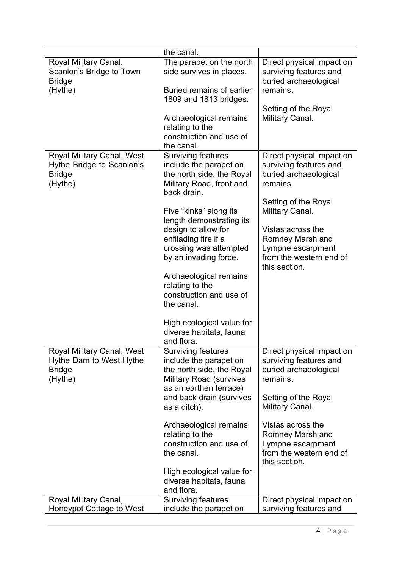|                                                                                     | the canal.                                                                                                                                   |                                                                                                                  |
|-------------------------------------------------------------------------------------|----------------------------------------------------------------------------------------------------------------------------------------------|------------------------------------------------------------------------------------------------------------------|
| Royal Military Canal,<br>Scanlon's Bridge to Town<br><b>Bridge</b><br>(Hythe)       | The parapet on the north<br>side survives in places.<br><b>Buried remains of earlier</b><br>1809 and 1813 bridges.                           | Direct physical impact on<br>surviving features and<br>buried archaeological<br>remains.<br>Setting of the Royal |
|                                                                                     | Archaeological remains<br>relating to the<br>construction and use of<br>the canal.                                                           | Military Canal.                                                                                                  |
| Royal Military Canal, West<br>Hythe Bridge to Scanlon's<br><b>Bridge</b><br>(Hythe) | <b>Surviving features</b><br>include the parapet on<br>the north side, the Royal<br>Military Road, front and<br>back drain.                  | Direct physical impact on<br>surviving features and<br>buried archaeological<br>remains.                         |
|                                                                                     | Five "kinks" along its<br>length demonstrating its                                                                                           | Setting of the Royal<br>Military Canal.                                                                          |
|                                                                                     | design to allow for<br>enfilading fire if a<br>crossing was attempted<br>by an invading force.                                               | Vistas across the<br>Romney Marsh and<br>Lympne escarpment<br>from the western end of<br>this section.           |
|                                                                                     | Archaeological remains<br>relating to the<br>construction and use of<br>the canal.                                                           |                                                                                                                  |
|                                                                                     | High ecological value for<br>diverse habitats, fauna<br>and flora.                                                                           |                                                                                                                  |
| Royal Military Canal, West<br>Hythe Dam to West Hythe<br><b>Bridge</b><br>(Hythe)   | <b>Surviving features</b><br>include the parapet on<br>the north side, the Royal<br><b>Military Road (survives</b><br>as an earthen terrace) | Direct physical impact on<br>surviving features and<br>buried archaeological<br>remains.                         |
|                                                                                     | and back drain (survives<br>as a ditch).                                                                                                     | Setting of the Royal<br>Military Canal.                                                                          |
|                                                                                     | Archaeological remains<br>relating to the<br>construction and use of<br>the canal.                                                           | Vistas across the<br>Romney Marsh and<br>Lympne escarpment<br>from the western end of<br>this section.           |
|                                                                                     | High ecological value for<br>diverse habitats, fauna<br>and flora.                                                                           |                                                                                                                  |
| Royal Military Canal,<br>Honeypot Cottage to West                                   | <b>Surviving features</b><br>include the parapet on                                                                                          | Direct physical impact on<br>surviving features and                                                              |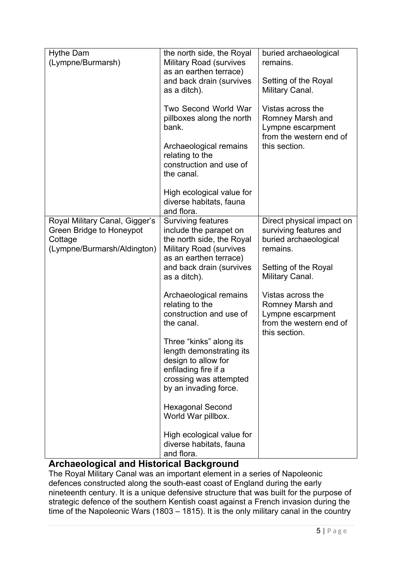| <b>Hythe Dam</b><br>(Lympne/Burmarsh)                                                                | the north side, the Royal<br><b>Military Road (survives</b><br>as an earthen terrace)<br>and back drain (survives<br>as a ditch).<br><b>Two Second World War</b><br>pillboxes along the north<br>bank.<br>Archaeological remains<br>relating to the<br>construction and use of<br>the canal. | buried archaeological<br>remains.<br>Setting of the Royal<br>Military Canal.<br>Vistas across the<br>Romney Marsh and<br>Lympne escarpment<br>from the western end of<br>this section. |
|------------------------------------------------------------------------------------------------------|----------------------------------------------------------------------------------------------------------------------------------------------------------------------------------------------------------------------------------------------------------------------------------------------|----------------------------------------------------------------------------------------------------------------------------------------------------------------------------------------|
|                                                                                                      | High ecological value for<br>diverse habitats, fauna<br>and flora.                                                                                                                                                                                                                           |                                                                                                                                                                                        |
| Royal Military Canal, Gigger's<br>Green Bridge to Honeypot<br>Cottage<br>(Lympne/Burmarsh/Aldington) | <b>Surviving features</b><br>include the parapet on<br>the north side, the Royal<br><b>Military Road (survives</b><br>as an earthen terrace)<br>and back drain (survives<br>as a ditch).                                                                                                     | Direct physical impact on<br>surviving features and<br>buried archaeological<br>remains.<br>Setting of the Royal<br>Military Canal.                                                    |
|                                                                                                      | Archaeological remains<br>relating to the<br>construction and use of<br>the canal.                                                                                                                                                                                                           | Vistas across the<br>Romney Marsh and<br>Lympne escarpment<br>from the western end of<br>this section.                                                                                 |
|                                                                                                      | Three "kinks" along its<br>length demonstrating its<br>design to allow for<br>enfilading fire if a<br>crossing was attempted<br>by an invading force.                                                                                                                                        |                                                                                                                                                                                        |
|                                                                                                      | <b>Hexagonal Second</b><br>World War pillbox.                                                                                                                                                                                                                                                |                                                                                                                                                                                        |
|                                                                                                      | High ecological value for<br>diverse habitats, fauna<br>and flora.                                                                                                                                                                                                                           |                                                                                                                                                                                        |

# **Archaeological and Historical Background**

The Royal Military Canal was an important element in a series of Napoleonic defences constructed along the south-east coast of England during the early nineteenth century. It is a unique defensive structure that was built for the purpose of strategic defence of the southern Kentish coast against a French invasion during the time of the Napoleonic Wars (1803 – 1815). It is the only military canal in the country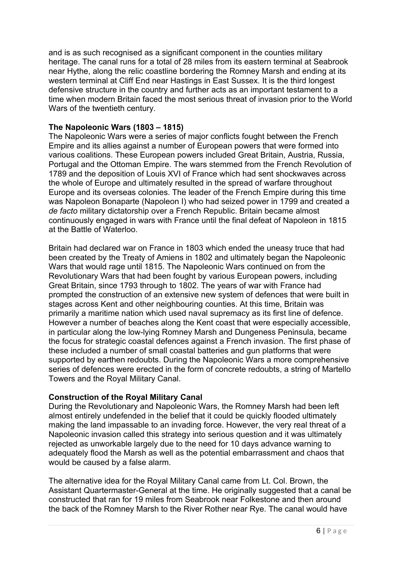and is as such recognised as a significant component in the counties military heritage. The canal runs for a total of 28 miles from its eastern terminal at Seabrook near Hythe, along the relic coastline bordering the Romney Marsh and ending at its western terminal at Cliff End near Hastings in East Sussex. It is the third longest defensive structure in the country and further acts as an important testament to a time when modern Britain faced the most serious threat of invasion prior to the World Wars of the twentieth century.

## **The Napoleonic Wars (1803 – 1815)**

The Napoleonic Wars were a series of major conflicts fought between the French Empire and its allies against a number of European powers that were formed into various coalitions. These European powers included Great Britain, Austria, Russia, Portugal and the Ottoman Empire. The wars stemmed from the French Revolution of 1789 and the deposition of Louis XVI of France which had sent shockwaves across the whole of Europe and ultimately resulted in the spread of warfare throughout Europe and its overseas colonies. The leader of the French Empire during this time was Napoleon Bonaparte (Napoleon I) who had seized power in 1799 and created a *de facto* military dictatorship over a French Republic. Britain became almost continuously engaged in wars with France until the final defeat of Napoleon in 1815 at the Battle of Waterloo.

Britain had declared war on France in 1803 which ended the uneasy truce that had been created by the Treaty of Amiens in 1802 and ultimately began the Napoleonic Wars that would rage until 1815. The Napoleonic Wars continued on from the Revolutionary Wars that had been fought by various European powers, including Great Britain, since 1793 through to 1802. The years of war with France had prompted the construction of an extensive new system of defences that were built in stages across Kent and other neighbouring counties. At this time, Britain was primarily a maritime nation which used naval supremacy as its first line of defence. However a number of beaches along the Kent coast that were especially accessible, in particular along the low-lying Romney Marsh and Dungeness Peninsula, became the focus for strategic coastal defences against a French invasion. The first phase of these included a number of small coastal batteries and gun platforms that were supported by earthen redoubts. During the Napoleonic Wars a more comprehensive series of defences were erected in the form of concrete redoubts, a string of Martello Towers and the Royal Military Canal.

## **Construction of the Royal Military Canal**

During the Revolutionary and Napoleonic Wars, the Romney Marsh had been left almost entirely undefended in the belief that it could be quickly flooded ultimately making the land impassable to an invading force. However, the very real threat of a Napoleonic invasion called this strategy into serious question and it was ultimately rejected as unworkable largely due to the need for 10 days advance warning to adequately flood the Marsh as well as the potential embarrassment and chaos that would be caused by a false alarm.

The alternative idea for the Royal Military Canal came from Lt. Col. Brown, the Assistant Quartermaster-General at the time. He originally suggested that a canal be constructed that ran for 19 miles from Seabrook near Folkestone and then around the back of the Romney Marsh to the River Rother near Rye. The canal would have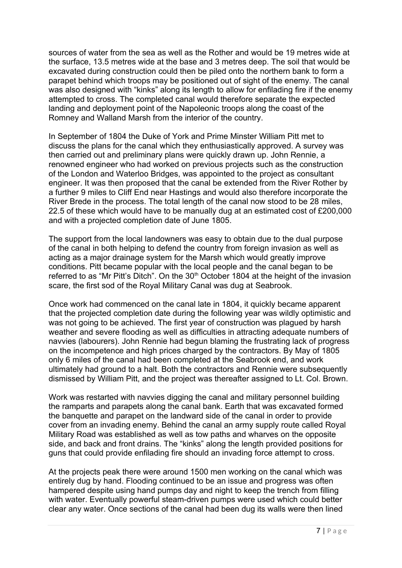sources of water from the sea as well as the Rother and would be 19 metres wide at the surface, 13.5 metres wide at the base and 3 metres deep. The soil that would be excavated during construction could then be piled onto the northern bank to form a parapet behind which troops may be positioned out of sight of the enemy. The canal was also designed with "kinks" along its length to allow for enfilading fire if the enemy attempted to cross. The completed canal would therefore separate the expected landing and deployment point of the Napoleonic troops along the coast of the Romney and Walland Marsh from the interior of the country.

In September of 1804 the Duke of York and Prime Minster William Pitt met to discuss the plans for the canal which they enthusiastically approved. A survey was then carried out and preliminary plans were quickly drawn up. John Rennie, a renowned engineer who had worked on previous projects such as the construction of the London and Waterloo Bridges, was appointed to the project as consultant engineer. It was then proposed that the canal be extended from the River Rother by a further 9 miles to Cliff End near Hastings and would also therefore incorporate the River Brede in the process. The total length of the canal now stood to be 28 miles, 22.5 of these which would have to be manually dug at an estimated cost of £200,000 and with a projected completion date of June 1805.

The support from the local landowners was easy to obtain due to the dual purpose of the canal in both helping to defend the country from foreign invasion as well as acting as a major drainage system for the Marsh which would greatly improve conditions. Pitt became popular with the local people and the canal began to be referred to as "Mr Pitt's Ditch". On the 30<sup>th</sup> October 1804 at the height of the invasion scare, the first sod of the Royal Military Canal was dug at Seabrook.

Once work had commenced on the canal late in 1804, it quickly became apparent that the projected completion date during the following year was wildly optimistic and was not going to be achieved. The first year of construction was plagued by harsh weather and severe flooding as well as difficulties in attracting adequate numbers of navvies (labourers). John Rennie had begun blaming the frustrating lack of progress on the incompetence and high prices charged by the contractors. By May of 1805 only 6 miles of the canal had been completed at the Seabrook end, and work ultimately had ground to a halt. Both the contractors and Rennie were subsequently dismissed by William Pitt, and the project was thereafter assigned to Lt. Col. Brown.

Work was restarted with navvies digging the canal and military personnel building the ramparts and parapets along the canal bank. Earth that was excavated formed the banquette and parapet on the landward side of the canal in order to provide cover from an invading enemy. Behind the canal an army supply route called Royal Military Road was established as well as tow paths and wharves on the opposite side, and back and front drains. The "kinks" along the length provided positions for guns that could provide enfilading fire should an invading force attempt to cross.

At the projects peak there were around 1500 men working on the canal which was entirely dug by hand. Flooding continued to be an issue and progress was often hampered despite using hand pumps day and night to keep the trench from filling with water. Eventually powerful steam-driven pumps were used which could better clear any water. Once sections of the canal had been dug its walls were then lined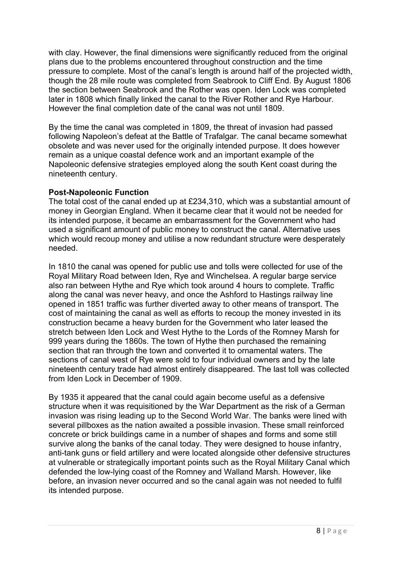with clay. However, the final dimensions were significantly reduced from the original plans due to the problems encountered throughout construction and the time pressure to complete. Most of the canal's length is around half of the projected width, though the 28 mile route was completed from Seabrook to Cliff End. By August 1806 the section between Seabrook and the Rother was open. Iden Lock was completed later in 1808 which finally linked the canal to the River Rother and Rye Harbour. However the final completion date of the canal was not until 1809.

By the time the canal was completed in 1809, the threat of invasion had passed following Napoleon's defeat at the Battle of Trafalgar. The canal became somewhat obsolete and was never used for the originally intended purpose. It does however remain as a unique coastal defence work and an important example of the Napoleonic defensive strategies employed along the south Kent coast during the nineteenth century.

## **Post-Napoleonic Function**

The total cost of the canal ended up at £234,310, which was a substantial amount of money in Georgian England. When it became clear that it would not be needed for its intended purpose, it became an embarrassment for the Government who had used a significant amount of public money to construct the canal. Alternative uses which would recoup money and utilise a now redundant structure were desperately needed.

In 1810 the canal was opened for public use and tolls were collected for use of the Royal Military Road between Iden, Rye and Winchelsea. A regular barge service also ran between Hythe and Rye which took around 4 hours to complete. Traffic along the canal was never heavy, and once the Ashford to Hastings railway line opened in 1851 traffic was further diverted away to other means of transport. The cost of maintaining the canal as well as efforts to recoup the money invested in its construction became a heavy burden for the Government who later leased the stretch between Iden Lock and West Hythe to the Lords of the Romney Marsh for 999 years during the 1860s. The town of Hythe then purchased the remaining section that ran through the town and converted it to ornamental waters. The sections of canal west of Rye were sold to four individual owners and by the late nineteenth century trade had almost entirely disappeared. The last toll was collected from Iden Lock in December of 1909.

By 1935 it appeared that the canal could again become useful as a defensive structure when it was requisitioned by the War Department as the risk of a German invasion was rising leading up to the Second World War. The banks were lined with several pillboxes as the nation awaited a possible invasion. These small reinforced concrete or brick buildings came in a number of shapes and forms and some still survive along the banks of the canal today. They were designed to house infantry, anti-tank guns or field artillery and were located alongside other defensive structures at vulnerable or strategically important points such as the Royal Military Canal which defended the low-lying coast of the Romney and Walland Marsh. However, like before, an invasion never occurred and so the canal again was not needed to fulfil its intended purpose.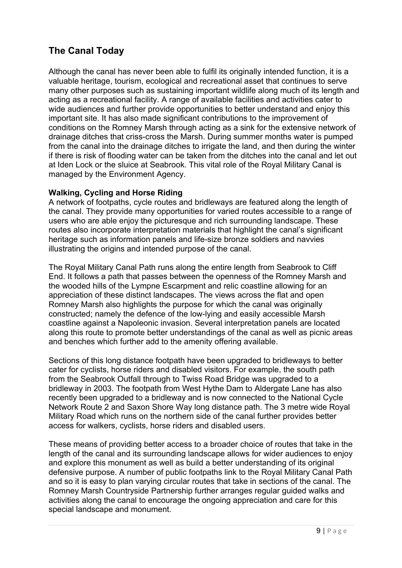# **The Canal Today**

Although the canal has never been able to fulfil its originally intended function, it is a valuable heritage, tourism, ecological and recreational asset that continues to serve many other purposes such as sustaining important wildlife along much of its length and acting as a recreational facility. A range of available facilities and activities cater to wide audiences and further provide opportunities to better understand and enjoy this important site. It has also made significant contributions to the improvement of conditions on the Romney Marsh through acting as a sink for the extensive network of drainage ditches that criss-cross the Marsh. During summer months water is pumped from the canal into the drainage ditches to irrigate the land, and then during the winter if there is risk of flooding water can be taken from the ditches into the canal and let out at Iden Lock or the sluice at Seabrook. This vital role of the Royal Military Canal is managed by the Environment Agency.

## **Walking, Cycling and Horse Riding**

A network of footpaths, cycle routes and bridleways are featured along the length of the canal. They provide many opportunities for varied routes accessible to a range of users who are able enjoy the picturesque and rich surrounding landscape. These routes also incorporate interpretation materials that highlight the canal's significant heritage such as information panels and life-size bronze soldiers and navvies illustrating the origins and intended purpose of the canal.

The Royal Military Canal Path runs along the entire length from Seabrook to Cliff End. It follows a path that passes between the openness of the Romney Marsh and the wooded hills of the Lympne Escarpment and relic coastline allowing for an appreciation of these distinct landscapes. The views across the flat and open Romney Marsh also highlights the purpose for which the canal was originally constructed; namely the defence of the low-lying and easily accessible Marsh coastline against a Napoleonic invasion. Several interpretation panels are located along this route to promote better understandings of the canal as well as picnic areas and benches which further add to the amenity offering available.

Sections of this long distance footpath have been upgraded to bridleways to better cater for cyclists, horse riders and disabled visitors. For example, the south path from the Seabrook Outfall through to Twiss Road Bridge was upgraded to a bridleway in 2003. The footpath from West Hythe Dam to Aldergate Lane has also recently been upgraded to a bridleway and is now connected to the National Cycle Network Route 2 and Saxon Shore Way long distance path. The 3 metre wide Royal Military Road which runs on the northern side of the canal further provides better access for walkers, cyclists, horse riders and disabled users.

These means of providing better access to a broader choice of routes that take in the length of the canal and its surrounding landscape allows for wider audiences to enjoy and explore this monument as well as build a better understanding of its original defensive purpose. A number of public footpaths link to the Royal Military Canal Path and so it is easy to plan varying circular routes that take in sections of the canal. The Romney Marsh Countryside Partnership further arranges regular guided walks and activities along the canal to encourage the ongoing appreciation and care for this special landscape and monument.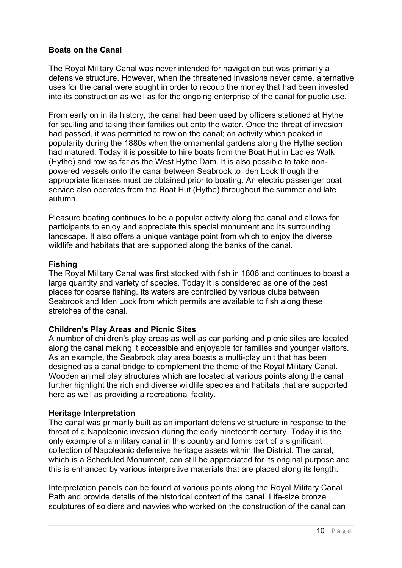## **Boats on the Canal**

The Royal Military Canal was never intended for navigation but was primarily a defensive structure. However, when the threatened invasions never came, alternative uses for the canal were sought in order to recoup the money that had been invested into its construction as well as for the ongoing enterprise of the canal for public use.

From early on in its history, the canal had been used by officers stationed at Hythe for sculling and taking their families out onto the water. Once the threat of invasion had passed, it was permitted to row on the canal; an activity which peaked in popularity during the 1880s when the ornamental gardens along the Hythe section had matured. Today it is possible to hire boats from the Boat Hut in Ladies Walk (Hythe) and row as far as the West Hythe Dam. It is also possible to take nonpowered vessels onto the canal between Seabrook to Iden Lock though the appropriate licenses must be obtained prior to boating. An electric passenger boat service also operates from the Boat Hut (Hythe) throughout the summer and late autumn.

Pleasure boating continues to be a popular activity along the canal and allows for participants to enjoy and appreciate this special monument and its surrounding landscape. It also offers a unique vantage point from which to enjoy the diverse wildlife and habitats that are supported along the banks of the canal.

#### **Fishing**

The Royal Military Canal was first stocked with fish in 1806 and continues to boast a large quantity and variety of species. Today it is considered as one of the best places for coarse fishing. Its waters are controlled by various clubs between Seabrook and Iden Lock from which permits are available to fish along these stretches of the canal.

#### **Children's Play Areas and Picnic Sites**

A number of children's play areas as well as car parking and picnic sites are located along the canal making it accessible and enjoyable for families and younger visitors. As an example, the Seabrook play area boasts a multi-play unit that has been designed as a canal bridge to complement the theme of the Royal Military Canal. Wooden animal play structures which are located at various points along the canal further highlight the rich and diverse wildlife species and habitats that are supported here as well as providing a recreational facility.

#### **Heritage Interpretation**

The canal was primarily built as an important defensive structure in response to the threat of a Napoleonic invasion during the early nineteenth century. Today it is the only example of a military canal in this country and forms part of a significant collection of Napoleonic defensive heritage assets within the District. The canal, which is a Scheduled Monument, can still be appreciated for its original purpose and this is enhanced by various interpretive materials that are placed along its length.

Interpretation panels can be found at various points along the Royal Military Canal Path and provide details of the historical context of the canal. Life-size bronze sculptures of soldiers and navvies who worked on the construction of the canal can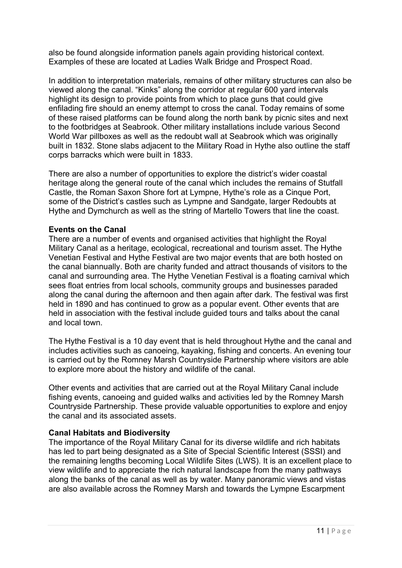also be found alongside information panels again providing historical context. Examples of these are located at Ladies Walk Bridge and Prospect Road.

In addition to interpretation materials, remains of other military structures can also be viewed along the canal. "Kinks" along the corridor at regular 600 yard intervals highlight its design to provide points from which to place guns that could give enfilading fire should an enemy attempt to cross the canal. Today remains of some of these raised platforms can be found along the north bank by picnic sites and next to the footbridges at Seabrook. Other military installations include various Second World War pillboxes as well as the redoubt wall at Seabrook which was originally built in 1832. Stone slabs adjacent to the Military Road in Hythe also outline the staff corps barracks which were built in 1833.

There are also a number of opportunities to explore the district's wider coastal heritage along the general route of the canal which includes the remains of Stutfall Castle, the Roman Saxon Shore fort at Lympne, Hythe's role as a Cinque Port, some of the District's castles such as Lympne and Sandgate, larger Redoubts at Hythe and Dymchurch as well as the string of Martello Towers that line the coast.

## **Events on the Canal**

There are a number of events and organised activities that highlight the Royal Military Canal as a heritage, ecological, recreational and tourism asset. The Hythe Venetian Festival and Hythe Festival are two major events that are both hosted on the canal biannually. Both are charity funded and attract thousands of visitors to the canal and surrounding area. The Hythe Venetian Festival is a floating carnival which sees float entries from local schools, community groups and businesses paraded along the canal during the afternoon and then again after dark. The festival was first held in 1890 and has continued to grow as a popular event. Other events that are held in association with the festival include guided tours and talks about the canal and local town.

The Hythe Festival is a 10 day event that is held throughout Hythe and the canal and includes activities such as canoeing, kayaking, fishing and concerts. An evening tour is carried out by the Romney Marsh Countryside Partnership where visitors are able to explore more about the history and wildlife of the canal.

Other events and activities that are carried out at the Royal Military Canal include fishing events, canoeing and guided walks and activities led by the Romney Marsh Countryside Partnership. These provide valuable opportunities to explore and enjoy the canal and its associated assets.

#### **Canal Habitats and Biodiversity**

The importance of the Royal Military Canal for its diverse wildlife and rich habitats has led to part being designated as a Site of Special Scientific Interest (SSSI) and the remaining lengths becoming Local Wildlife Sites (LWS). It is an excellent place to view wildlife and to appreciate the rich natural landscape from the many pathways along the banks of the canal as well as by water. Many panoramic views and vistas are also available across the Romney Marsh and towards the Lympne Escarpment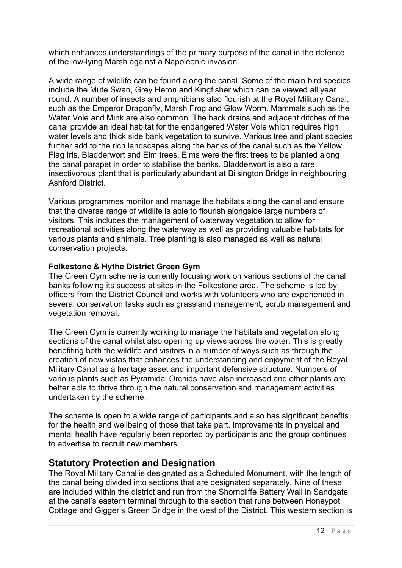which enhances understandings of the primary purpose of the canal in the defence of the low-lying Marsh against a Napoleonic invasion.

A wide range of wildlife can be found along the canal. Some of the main bird species include the Mute Swan, Grey Heron and Kingfisher which can be viewed all year round. A number of insects and amphibians also flourish at the Royal Military Canal, such as the Emperor Dragonfly, Marsh Frog and Glow Worm. Mammals such as the Water Vole and Mink are also common. The back drains and adjacent ditches of the canal provide an ideal habitat for the endangered Water Vole which requires high water levels and thick side bank vegetation to survive. Various tree and plant species further add to the rich landscapes along the banks of the canal such as the Yellow Flag Iris, Bladderwort and Elm trees. Elms were the first trees to be planted along the canal parapet in order to stabilise the banks. Bladderwort is also a rare insectivorous plant that is particularly abundant at Bilsington Bridge in neighbouring Ashford District.

Various programmes monitor and manage the habitats along the canal and ensure that the diverse range of wildlife is able to flourish alongside large numbers of visitors. This includes the management of waterway vegetation to allow for recreational activities along the waterway as well as providing valuable habitats for various plants and animals. Tree planting is also managed as well as natural conservation projects.

## **Folkestone & Hythe District Green Gym**

The Green Gym scheme is currently focusing work on various sections of the canal banks following its success at sites in the Folkestone area. The scheme is led by officers from the District Council and works with volunteers who are experienced in several conservation tasks such as grassland management, scrub management and vegetation removal.

The Green Gym is currently working to manage the habitats and vegetation along sections of the canal whilst also opening up views across the water. This is greatly benefiting both the wildlife and visitors in a number of ways such as through the creation of new vistas that enhances the understanding and enjoyment of the Royal Military Canal as a heritage asset and important defensive structure. Numbers of various plants such as Pyramidal Orchids have also increased and other plants are better able to thrive through the natural conservation and management activities undertaken by the scheme.

The scheme is open to a wide range of participants and also has significant benefits for the health and wellbeing of those that take part. Improvements in physical and mental health have regularly been reported by participants and the group continues to advertise to recruit new members.

## **Statutory Protection and Designation**

The Royal Military Canal is designated as a Scheduled Monument, with the length of the canal being divided into sections that are designated separately. Nine of these are included within the district and run from the Shorncliffe Battery Wall in Sandgate at the canal's eastern terminal through to the section that runs between Honeypot Cottage and Gigger's Green Bridge in the west of the District. This western section is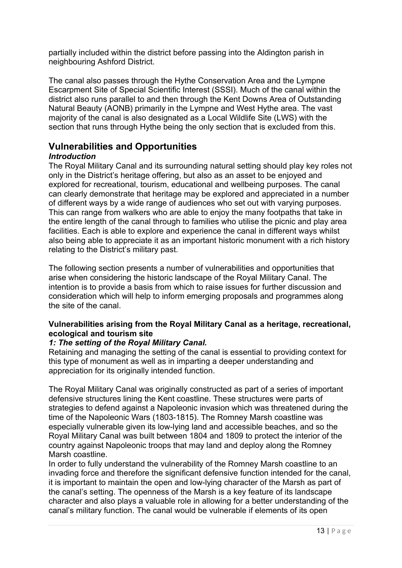partially included within the district before passing into the Aldington parish in neighbouring Ashford District.

The canal also passes through the Hythe Conservation Area and the Lympne Escarpment Site of Special Scientific Interest (SSSI). Much of the canal within the district also runs parallel to and then through the Kent Downs Area of Outstanding Natural Beauty (AONB) primarily in the Lympne and West Hythe area. The vast majority of the canal is also designated as a Local Wildlife Site (LWS) with the section that runs through Hythe being the only section that is excluded from this.

## **Vulnerabilities and Opportunities**

## *Introduction*

The Royal Military Canal and its surrounding natural setting should play key roles not only in the District's heritage offering, but also as an asset to be enjoyed and explored for recreational, tourism, educational and wellbeing purposes. The canal can clearly demonstrate that heritage may be explored and appreciated in a number of different ways by a wide range of audiences who set out with varying purposes. This can range from walkers who are able to enjoy the many footpaths that take in the entire length of the canal through to families who utilise the picnic and play area facilities. Each is able to explore and experience the canal in different ways whilst also being able to appreciate it as an important historic monument with a rich history relating to the District's military past.

The following section presents a number of vulnerabilities and opportunities that arise when considering the historic landscape of the Royal Military Canal. The intention is to provide a basis from which to raise issues for further discussion and consideration which will help to inform emerging proposals and programmes along the site of the canal.

## **Vulnerabilities arising from the Royal Military Canal as a heritage, recreational, ecological and tourism site**

#### *1: The setting of the Royal Military Canal.*

Retaining and managing the setting of the canal is essential to providing context for this type of monument as well as in imparting a deeper understanding and appreciation for its originally intended function.

The Royal Military Canal was originally constructed as part of a series of important defensive structures lining the Kent coastline. These structures were parts of strategies to defend against a Napoleonic invasion which was threatened during the time of the Napoleonic Wars (1803-1815). The Romney Marsh coastline was especially vulnerable given its low-lying land and accessible beaches, and so the Royal Military Canal was built between 1804 and 1809 to protect the interior of the country against Napoleonic troops that may land and deploy along the Romney Marsh coastline.

In order to fully understand the vulnerability of the Romney Marsh coastline to an invading force and therefore the significant defensive function intended for the canal, it is important to maintain the open and low-lying character of the Marsh as part of the canal's setting. The openness of the Marsh is a key feature of its landscape character and also plays a valuable role in allowing for a better understanding of the canal's military function. The canal would be vulnerable if elements of its open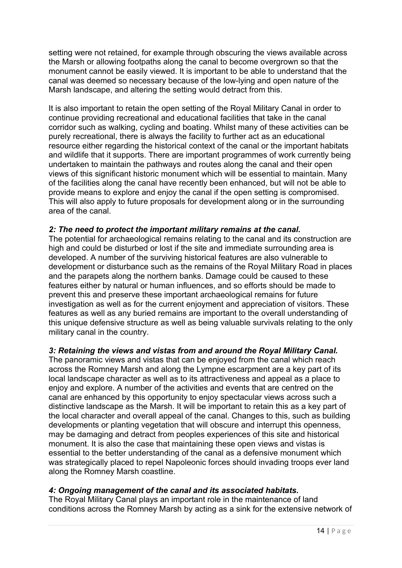setting were not retained, for example through obscuring the views available across the Marsh or allowing footpaths along the canal to become overgrown so that the monument cannot be easily viewed. It is important to be able to understand that the canal was deemed so necessary because of the low-lying and open nature of the Marsh landscape, and altering the setting would detract from this.

It is also important to retain the open setting of the Royal Military Canal in order to continue providing recreational and educational facilities that take in the canal corridor such as walking, cycling and boating. Whilst many of these activities can be purely recreational, there is always the facility to further act as an educational resource either regarding the historical context of the canal or the important habitats and wildlife that it supports. There are important programmes of work currently being undertaken to maintain the pathways and routes along the canal and their open views of this significant historic monument which will be essential to maintain. Many of the facilities along the canal have recently been enhanced, but will not be able to provide means to explore and enjoy the canal if the open setting is compromised. This will also apply to future proposals for development along or in the surrounding area of the canal.

## *2: The need to protect the important military remains at the canal.*

The potential for archaeological remains relating to the canal and its construction are high and could be disturbed or lost if the site and immediate surrounding area is developed. A number of the surviving historical features are also vulnerable to development or disturbance such as the remains of the Royal Military Road in places and the parapets along the northern banks. Damage could be caused to these features either by natural or human influences, and so efforts should be made to prevent this and preserve these important archaeological remains for future investigation as well as for the current enjoyment and appreciation of visitors. These features as well as any buried remains are important to the overall understanding of this unique defensive structure as well as being valuable survivals relating to the only military canal in the country.

## *3: Retaining the views and vistas from and around the Royal Military Canal.*

The panoramic views and vistas that can be enjoyed from the canal which reach across the Romney Marsh and along the Lympne escarpment are a key part of its local landscape character as well as to its attractiveness and appeal as a place to enjoy and explore. A number of the activities and events that are centred on the canal are enhanced by this opportunity to enjoy spectacular views across such a distinctive landscape as the Marsh. It will be important to retain this as a key part of the local character and overall appeal of the canal. Changes to this, such as building developments or planting vegetation that will obscure and interrupt this openness, may be damaging and detract from peoples experiences of this site and historical monument. It is also the case that maintaining these open views and vistas is essential to the better understanding of the canal as a defensive monument which was strategically placed to repel Napoleonic forces should invading troops ever land along the Romney Marsh coastline.

#### *4: Ongoing management of the canal and its associated habitats.*

The Royal Military Canal plays an important role in the maintenance of land conditions across the Romney Marsh by acting as a sink for the extensive network of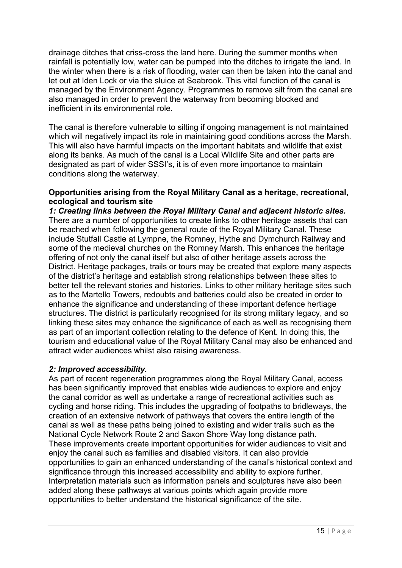drainage ditches that criss-cross the land here. During the summer months when rainfall is potentially low, water can be pumped into the ditches to irrigate the land. In the winter when there is a risk of flooding, water can then be taken into the canal and let out at Iden Lock or via the sluice at Seabrook. This vital function of the canal is managed by the Environment Agency. Programmes to remove silt from the canal are also managed in order to prevent the waterway from becoming blocked and inefficient in its environmental role.

The canal is therefore vulnerable to silting if ongoing management is not maintained which will negatively impact its role in maintaining good conditions across the Marsh. This will also have harmful impacts on the important habitats and wildlife that exist along its banks. As much of the canal is a Local Wildlife Site and other parts are designated as part of wider SSSI's, it is of even more importance to maintain conditions along the waterway.

#### **Opportunities arising from the Royal Military Canal as a heritage, recreational, ecological and tourism site**

*1: Creating links between the Royal Military Canal and adjacent historic sites.*  There are a number of opportunities to create links to other heritage assets that can be reached when following the general route of the Royal Military Canal. These include Stutfall Castle at Lympne, the Romney, Hythe and Dymchurch Railway and some of the medieval churches on the Romney Marsh. This enhances the heritage offering of not only the canal itself but also of other heritage assets across the District. Heritage packages, trails or tours may be created that explore many aspects of the district's heritage and establish strong relationships between these sites to better tell the relevant stories and histories. Links to other military heritage sites such as to the Martello Towers, redoubts and batteries could also be created in order to enhance the significance and understanding of these important defence hertiage structures. The district is particularly recognised for its strong military legacy, and so linking these sites may enhance the significance of each as well as recognising them as part of an important collection relating to the defence of Kent. In doing this, the tourism and educational value of the Royal Military Canal may also be enhanced and attract wider audiences whilst also raising awareness.

#### *2: Improved accessibility.*

As part of recent regeneration programmes along the Royal Military Canal, access has been significantly improved that enables wide audiences to explore and enjoy the canal corridor as well as undertake a range of recreational activities such as cycling and horse riding. This includes the upgrading of footpaths to bridleways, the creation of an extensive network of pathways that covers the entire length of the canal as well as these paths being joined to existing and wider trails such as the National Cycle Network Route 2 and Saxon Shore Way long distance path. These improvements create important opportunities for wider audiences to visit and enjoy the canal such as families and disabled visitors. It can also provide opportunities to gain an enhanced understanding of the canal's historical context and significance through this increased accessibility and ability to explore further. Interpretation materials such as information panels and sculptures have also been added along these pathways at various points which again provide more opportunities to better understand the historical significance of the site.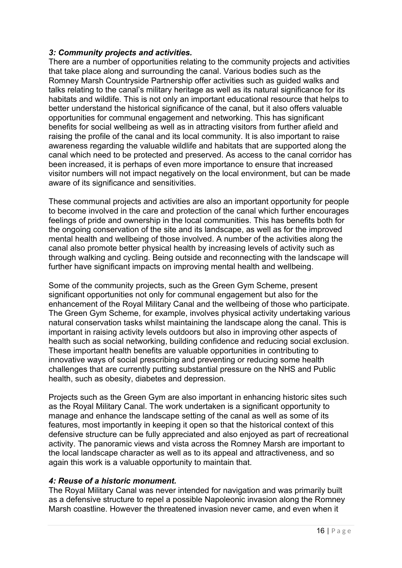## *3: Community projects and activities.*

There are a number of opportunities relating to the community projects and activities that take place along and surrounding the canal. Various bodies such as the Romney Marsh Countryside Partnership offer activities such as guided walks and talks relating to the canal's military heritage as well as its natural significance for its habitats and wildlife. This is not only an important educational resource that helps to better understand the historical significance of the canal, but it also offers valuable opportunities for communal engagement and networking. This has significant benefits for social wellbeing as well as in attracting visitors from further afield and raising the profile of the canal and its local community. It is also important to raise awareness regarding the valuable wildlife and habitats that are supported along the canal which need to be protected and preserved. As access to the canal corridor has been increased, it is perhaps of even more importance to ensure that increased visitor numbers will not impact negatively on the local environment, but can be made aware of its significance and sensitivities.

These communal projects and activities are also an important opportunity for people to become involved in the care and protection of the canal which further encourages feelings of pride and ownership in the local communities. This has benefits both for the ongoing conservation of the site and its landscape, as well as for the improved mental health and wellbeing of those involved. A number of the activities along the canal also promote better physical health by increasing levels of activity such as through walking and cycling. Being outside and reconnecting with the landscape will further have significant impacts on improving mental health and wellbeing.

Some of the community projects, such as the Green Gym Scheme, present significant opportunities not only for communal engagement but also for the enhancement of the Royal Military Canal and the wellbeing of those who participate. The Green Gym Scheme, for example, involves physical activity undertaking various natural conservation tasks whilst maintaining the landscape along the canal. This is important in raising activity levels outdoors but also in improving other aspects of health such as social networking, building confidence and reducing social exclusion. These important health benefits are valuable opportunities in contributing to innovative ways of social prescribing and preventing or reducing some health challenges that are currently putting substantial pressure on the NHS and Public health, such as obesity, diabetes and depression.

Projects such as the Green Gym are also important in enhancing historic sites such as the Royal Military Canal. The work undertaken is a significant opportunity to manage and enhance the landscape setting of the canal as well as some of its features, most importantly in keeping it open so that the historical context of this defensive structure can be fully appreciated and also enjoyed as part of recreational activity. The panoramic views and vista across the Romney Marsh are important to the local landscape character as well as to its appeal and attractiveness, and so again this work is a valuable opportunity to maintain that.

#### *4: Reuse of a historic monument.*

The Royal Military Canal was never intended for navigation and was primarily built as a defensive structure to repel a possible Napoleonic invasion along the Romney Marsh coastline. However the threatened invasion never came, and even when it